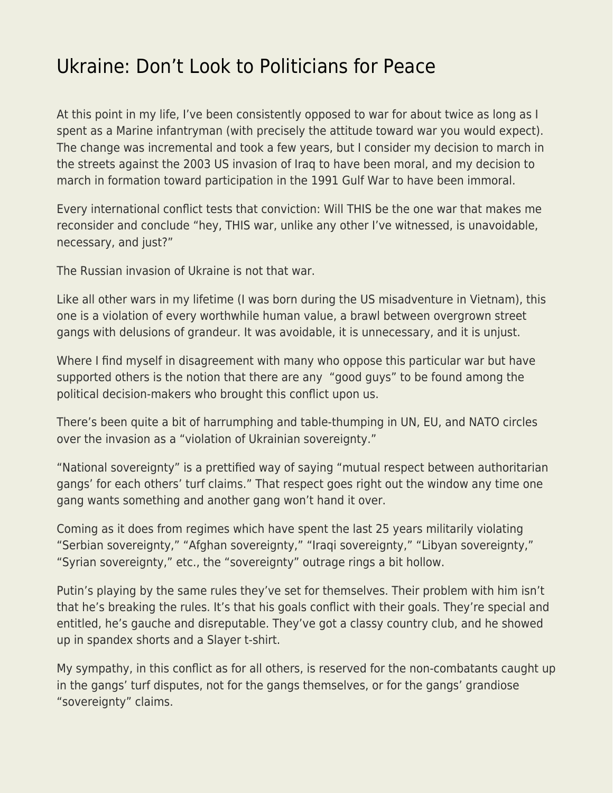## [Ukraine: Don't Look to Politicians for Peace](https://everything-voluntary.com/ukraine-dont-look-to-politicians-for-peace)

At this point in my life, I've been consistently opposed to war for about twice as long as I spent as a Marine infantryman (with precisely the attitude toward war you would expect). The change was incremental and took a few years, but I consider my decision to march in the streets against the 2003 US invasion of Iraq to have been moral, and my decision to march in formation toward participation in the 1991 Gulf War to have been immoral.

Every international conflict tests that conviction: Will THIS be the one war that makes me reconsider and conclude "hey, THIS war, unlike any other I've witnessed, is unavoidable, necessary, and just?"

The Russian invasion of Ukraine is not that war.

Like all other wars in my lifetime (I was born during the US misadventure in Vietnam), this one is a violation of every worthwhile human value, a brawl between overgrown street gangs with delusions of grandeur. It was avoidable, it is unnecessary, and it is unjust.

Where I find myself in disagreement with many who oppose this particular war but have supported others is the notion that there are any "good guys" to be found among the political decision-makers who brought this conflict upon us.

There's been quite a bit of harrumphing and table-thumping in UN, EU, and NATO circles over the invasion as a "violation of Ukrainian sovereignty."

"National sovereignty" is a prettified way of saying "mutual respect between authoritarian gangs' for each others' turf claims." That respect goes right out the window any time one gang wants something and another gang won't hand it over.

Coming as it does from regimes which have spent the last 25 years militarily violating "Serbian sovereignty," "Afghan sovereignty," "Iraqi sovereignty," "Libyan sovereignty," "Syrian sovereignty," etc., the "sovereignty" outrage rings a bit hollow.

Putin's playing by the same rules they've set for themselves. Their problem with him isn't that he's breaking the rules. It's that his goals conflict with their goals. They're special and entitled, he's gauche and disreputable. They've got a classy country club, and he showed up in spandex shorts and a Slayer t-shirt.

My sympathy, in this conflict as for all others, is reserved for the non-combatants caught up in the gangs' turf disputes, not for the gangs themselves, or for the gangs' grandiose "sovereignty" claims.